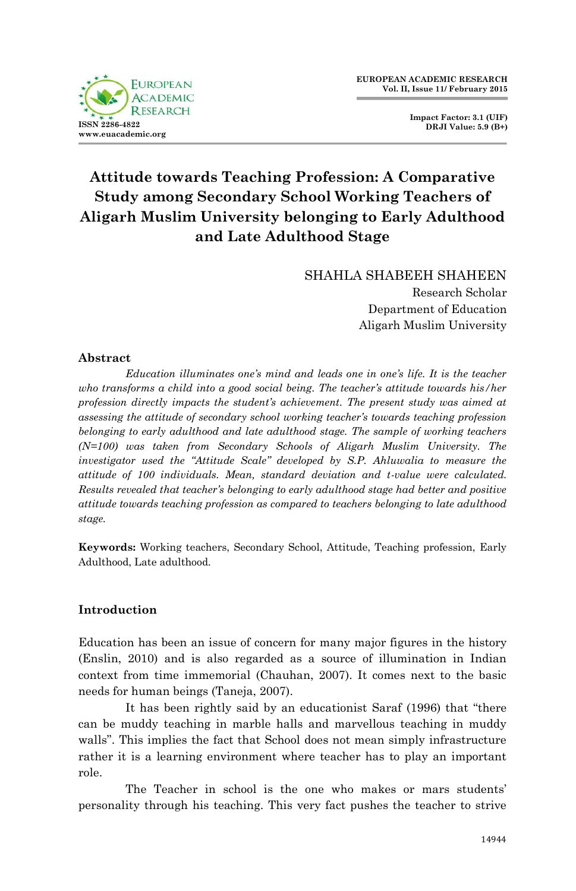

SHAHLA SHABEEH SHAHEEN Research Scholar Department of Education Aligarh Muslim University

#### **Abstract**

*Education illuminates one's mind and leads one in one's life. It is the teacher who transforms a child into a good social being. The teacher's attitude towards his/her profession directly impacts the student's achievement. The present study was aimed at assessing the attitude of secondary school working teacher's towards teaching profession belonging to early adulthood and late adulthood stage. The sample of working teachers (N=100) was taken from Secondary Schools of Aligarh Muslim University. The investigator used the "Attitude Scale" developed by S.P. Ahluwalia to measure the attitude of 100 individuals. Mean, standard deviation and t-value were calculated. Results revealed that teacher's belonging to early adulthood stage had better and positive attitude towards teaching profession as compared to teachers belonging to late adulthood stage.*

**Keywords:** Working teachers, Secondary School, Attitude, Teaching profession, Early Adulthood, Late adulthood.

## **Introduction**

Education has been an issue of concern for many major figures in the history (Enslin, 2010) and is also regarded as a source of illumination in Indian context from time immemorial (Chauhan, 2007). It comes next to the basic needs for human beings (Taneja, 2007).

It has been rightly said by an educationist Saraf (1996) that "there can be muddy teaching in marble halls and marvellous teaching in muddy walls". This implies the fact that School does not mean simply infrastructure rather it is a learning environment where teacher has to play an important role.

The Teacher in school is the one who makes or mars students' personality through his teaching. This very fact pushes the teacher to strive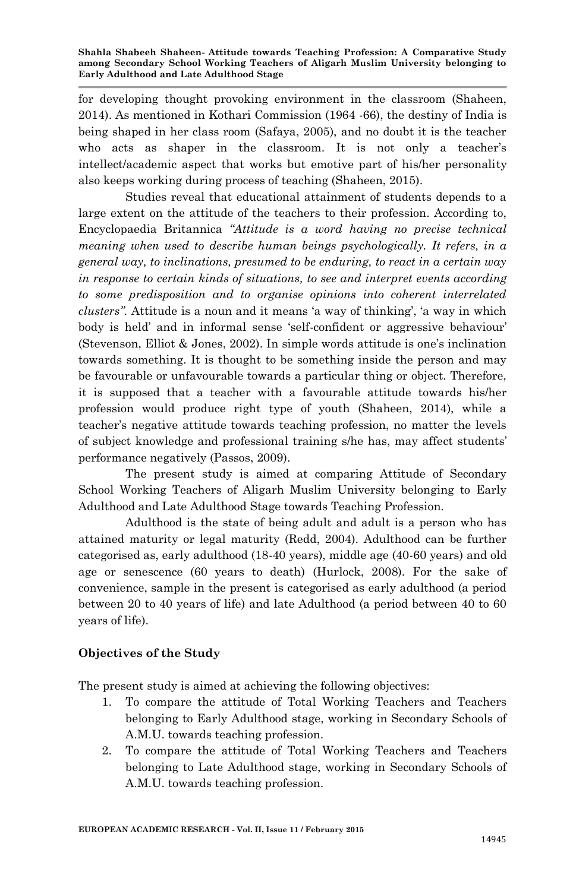for developing thought provoking environment in the classroom (Shaheen, 2014). As mentioned in Kothari Commission (1964 -66), the destiny of India is being shaped in her class room (Safaya, 2005), and no doubt it is the teacher who acts as shaper in the classroom. It is not only a teacher's intellect/academic aspect that works but emotive part of his/her personality also keeps working during process of teaching (Shaheen, 2015).

Studies reveal that educational attainment of students depends to a large extent on the attitude of the teachers to their profession. According to, Encyclopaedia Britannica *"Attitude is a word having no precise technical meaning when used to describe human beings psychologically. It refers, in a general way, to inclinations, presumed to be enduring, to react in a certain way in response to certain kinds of situations, to see and interpret events according to some predisposition and to organise opinions into coherent interrelated clusters".* Attitude is a noun and it means "a way of thinking", "a way in which body is held" and in informal sense "self-confident or aggressive behaviour" (Stevenson, Elliot & Jones, 2002). In simple words attitude is one"s inclination towards something. It is thought to be something inside the person and may be favourable or unfavourable towards a particular thing or object. Therefore, it is supposed that a teacher with a favourable attitude towards his/her profession would produce right type of youth (Shaheen, 2014), while a teacher"s negative attitude towards teaching profession, no matter the levels of subject knowledge and professional training s/he has, may affect students" performance negatively (Passos, 2009).

The present study is aimed at comparing Attitude of Secondary School Working Teachers of Aligarh Muslim University belonging to Early Adulthood and Late Adulthood Stage towards Teaching Profession.

Adulthood is the state of being adult and adult is a person who has attained maturity or legal maturity (Redd, 2004). Adulthood can be further categorised as, early adulthood (18-40 years), middle age (40-60 years) and old age or senescence (60 years to death) (Hurlock, 2008). For the sake of convenience, sample in the present is categorised as early adulthood (a period between 20 to 40 years of life) and late Adulthood (a period between 40 to 60 years of life).

## **Objectives of the Study**

The present study is aimed at achieving the following objectives:

- 1. To compare the attitude of Total Working Teachers and Teachers belonging to Early Adulthood stage, working in Secondary Schools of A.M.U. towards teaching profession.
- 2. To compare the attitude of Total Working Teachers and Teachers belonging to Late Adulthood stage, working in Secondary Schools of A.M.U. towards teaching profession.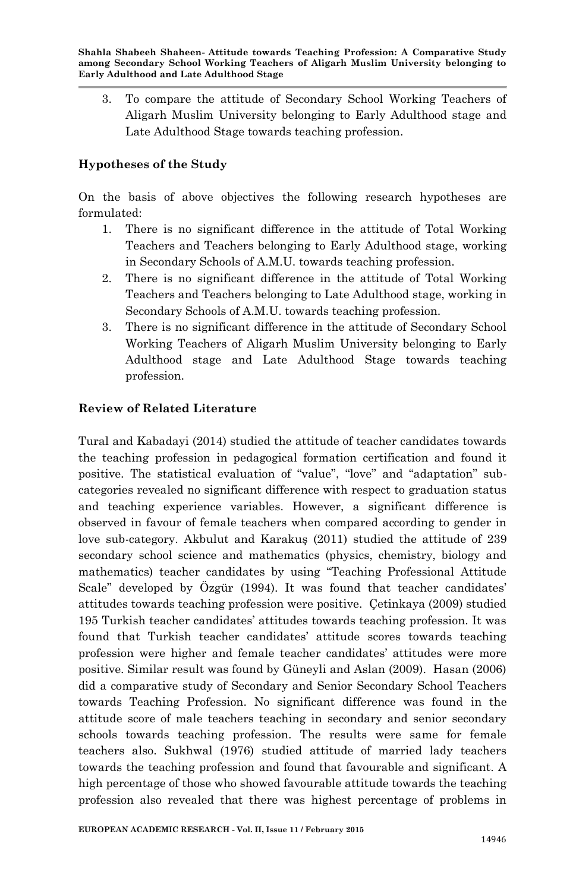3. To compare the attitude of Secondary School Working Teachers of Aligarh Muslim University belonging to Early Adulthood stage and Late Adulthood Stage towards teaching profession.

### **Hypotheses of the Study**

On the basis of above objectives the following research hypotheses are formulated:

- 1. There is no significant difference in the attitude of Total Working Teachers and Teachers belonging to Early Adulthood stage, working in Secondary Schools of A.M.U. towards teaching profession.
- 2. There is no significant difference in the attitude of Total Working Teachers and Teachers belonging to Late Adulthood stage, working in Secondary Schools of A.M.U. towards teaching profession.
- 3. There is no significant difference in the attitude of Secondary School Working Teachers of Aligarh Muslim University belonging to Early Adulthood stage and Late Adulthood Stage towards teaching profession.

#### **Review of Related Literature**

Tural and Kabadayi (2014) studied the attitude of teacher candidates towards the teaching profession in pedagogical formation certification and found it positive. The statistical evaluation of "value", "love" and "adaptation" subcategories revealed no significant difference with respect to graduation status and teaching experience variables. However, a significant difference is observed in favour of female teachers when compared according to gender in love sub-category. Akbulut and Karakuş (2011) studied the attitude of 239 secondary school science and mathematics (physics, chemistry, biology and mathematics) teacher candidates by using "Teaching Professional Attitude Scale" developed by Özgür (1994). It was found that teacher candidates' attitudes towards teaching profession were positive. Çetinkaya (2009) studied 195 Turkish teacher candidates" attitudes towards teaching profession. It was found that Turkish teacher candidates" attitude scores towards teaching profession were higher and female teacher candidates" attitudes were more positive. Similar result was found by Güneyli and Aslan (2009). Hasan (2006) did a comparative study of Secondary and Senior Secondary School Teachers towards Teaching Profession. No significant difference was found in the attitude score of male teachers teaching in secondary and senior secondary schools towards teaching profession. The results were same for female teachers also. Sukhwal (1976) studied attitude of married lady teachers towards the teaching profession and found that favourable and significant. A high percentage of those who showed favourable attitude towards the teaching profession also revealed that there was highest percentage of problems in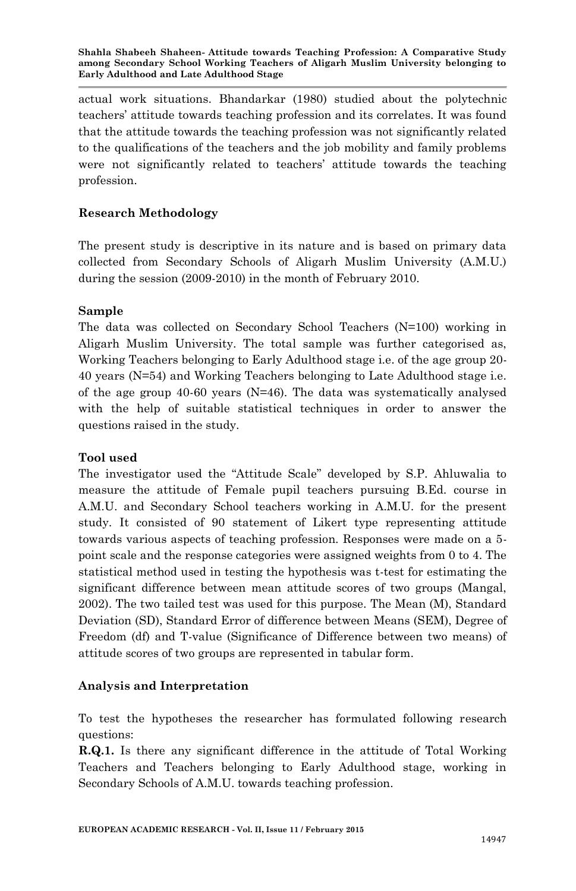actual work situations. Bhandarkar (1980) studied about the polytechnic teachers" attitude towards teaching profession and its correlates. It was found that the attitude towards the teaching profession was not significantly related to the qualifications of the teachers and the job mobility and family problems were not significantly related to teachers" attitude towards the teaching profession.

## **Research Methodology**

The present study is descriptive in its nature and is based on primary data collected from Secondary Schools of Aligarh Muslim University (A.M.U.) during the session (2009-2010) in the month of February 2010.

## **Sample**

The data was collected on Secondary School Teachers (N=100) working in Aligarh Muslim University. The total sample was further categorised as, Working Teachers belonging to Early Adulthood stage i.e. of the age group 20- 40 years (N=54) and Working Teachers belonging to Late Adulthood stage i.e. of the age group 40-60 years (N=46). The data was systematically analysed with the help of suitable statistical techniques in order to answer the questions raised in the study.

## **Tool used**

The investigator used the "Attitude Scale" developed by S.P. Ahluwalia to measure the attitude of Female pupil teachers pursuing B.Ed. course in A.M.U. and Secondary School teachers working in A.M.U. for the present study. It consisted of 90 statement of Likert type representing attitude towards various aspects of teaching profession. Responses were made on a 5 point scale and the response categories were assigned weights from 0 to 4. The statistical method used in testing the hypothesis was t-test for estimating the significant difference between mean attitude scores of two groups (Mangal, 2002). The two tailed test was used for this purpose. The Mean (M), Standard Deviation (SD), Standard Error of difference between Means (SEM), Degree of Freedom (df) and T-value (Significance of Difference between two means) of attitude scores of two groups are represented in tabular form.

## **Analysis and Interpretation**

To test the hypotheses the researcher has formulated following research questions:

**R.Q.1.** Is there any significant difference in the attitude of Total Working Teachers and Teachers belonging to Early Adulthood stage, working in Secondary Schools of A.M.U. towards teaching profession.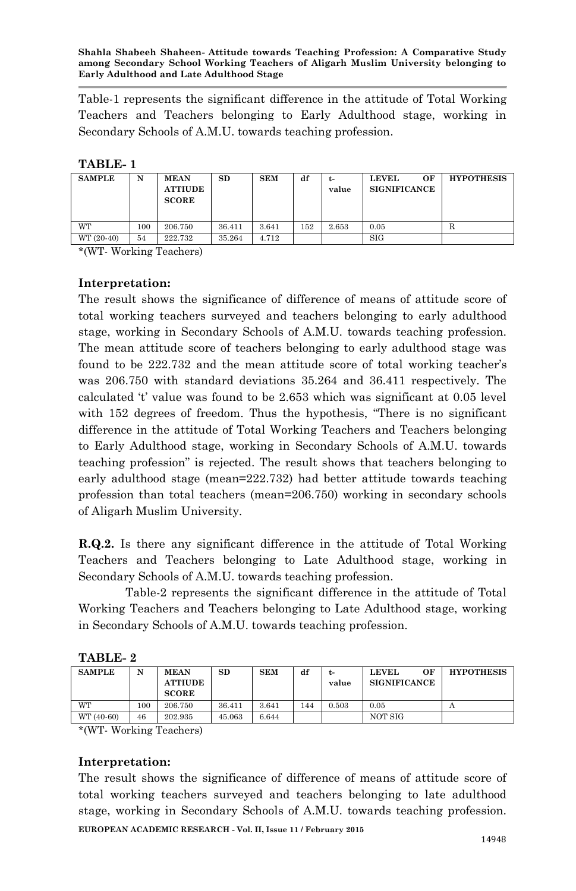Table-1 represents the significant difference in the attitude of Total Working Teachers and Teachers belonging to Early Adulthood stage, working in Secondary Schools of A.M.U. towards teaching profession.

#### **TABLE- 1**

| <b>SAMPLE</b> | N   | <b>MEAN</b><br><b>ATTIUDE</b><br><b>SCORE</b> | SD     | <b>SEM</b> | df  | t-<br>value | ОF<br><b>LEVEL</b><br><b>SIGNIFICANCE</b> | <b>HYPOTHESIS</b> |
|---------------|-----|-----------------------------------------------|--------|------------|-----|-------------|-------------------------------------------|-------------------|
| WT            | 100 | 206.750                                       | 36.411 | 3.641      | 152 | 2.653       | 0.05                                      |                   |
| WT (20-40)    | 54  | 222.732                                       | 35.264 | 4.712      |     |             | <b>SIG</b>                                |                   |

\*(WT- Working Teachers)

#### **Interpretation:**

The result shows the significance of difference of means of attitude score of total working teachers surveyed and teachers belonging to early adulthood stage, working in Secondary Schools of A.M.U. towards teaching profession. The mean attitude score of teachers belonging to early adulthood stage was found to be 222.732 and the mean attitude score of total working teacher"s was 206.750 with standard deviations 35.264 and 36.411 respectively. The calculated  $t'$  value was found to be 2.653 which was significant at 0.05 level with 152 degrees of freedom. Thus the hypothesis, "There is no significant difference in the attitude of Total Working Teachers and Teachers belonging to Early Adulthood stage, working in Secondary Schools of A.M.U. towards teaching profession" is rejected. The result shows that teachers belonging to early adulthood stage (mean=222.732) had better attitude towards teaching profession than total teachers (mean=206.750) working in secondary schools of Aligarh Muslim University.

**R.Q.2.** Is there any significant difference in the attitude of Total Working Teachers and Teachers belonging to Late Adulthood stage, working in Secondary Schools of A.M.U. towards teaching profession.

Table-2 represents the significant difference in the attitude of Total Working Teachers and Teachers belonging to Late Adulthood stage, working in Secondary Schools of A.M.U. towards teaching profession.

| TABLE. |  |
|--------|--|
|--------|--|

|                  |     | <b>ATTIUDE</b><br><b>SCORE</b> |        |       |     | value | <b>SIGNIFICANCE</b> |   |
|------------------|-----|--------------------------------|--------|-------|-----|-------|---------------------|---|
| <b>WT</b>        | 100 | 206.750                        | 36.411 | 3.641 | 144 | 0.503 | 0.05                | Δ |
| WT (40-60)<br>46 |     | 202.935                        | 45.063 | 6.644 |     |       | NOT SIG             |   |

\*(WT- Working Teachers)

#### **Interpretation:**

The result shows the significance of difference of means of attitude score of total working teachers surveyed and teachers belonging to late adulthood stage, working in Secondary Schools of A.M.U. towards teaching profession.

**EUROPEAN ACADEMIC RESEARCH - Vol. II, Issue 11 / February 2015**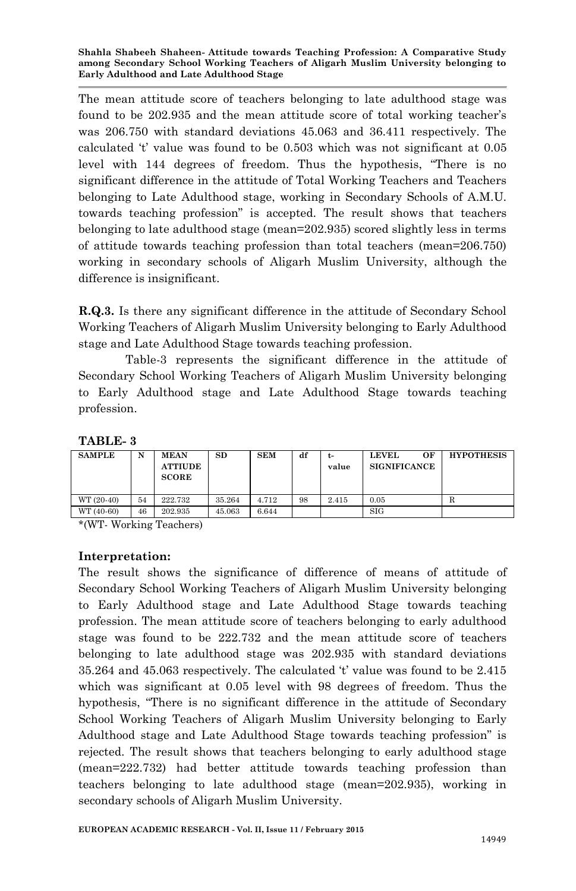The mean attitude score of teachers belonging to late adulthood stage was found to be 202.935 and the mean attitude score of total working teacher"s was 206.750 with standard deviations 45.063 and 36.411 respectively. The calculated "t" value was found to be 0.503 which was not significant at 0.05 level with 144 degrees of freedom. Thus the hypothesis, "There is no significant difference in the attitude of Total Working Teachers and Teachers belonging to Late Adulthood stage, working in Secondary Schools of A.M.U. towards teaching profession" is accepted. The result shows that teachers belonging to late adulthood stage (mean=202.935) scored slightly less in terms of attitude towards teaching profession than total teachers (mean=206.750) working in secondary schools of Aligarh Muslim University, although the difference is insignificant.

**R.Q.3.** Is there any significant difference in the attitude of Secondary School Working Teachers of Aligarh Muslim University belonging to Early Adulthood stage and Late Adulthood Stage towards teaching profession.

Table-3 represents the significant difference in the attitude of Secondary School Working Teachers of Aligarh Muslim University belonging to Early Adulthood stage and Late Adulthood Stage towards teaching profession.

### **TABLE- 3**

| <b>SAMPLE</b> | N  | <b>MEAN</b><br><b>ATTIUDE</b><br><b>SCORE</b> | $_{\rm SD}$ | <b>SEM</b> | df | t-<br>value | <b>LEVEL</b><br>ОF<br><b>SIGNIFICANCE</b> | <b>HYPOTHESIS</b> |
|---------------|----|-----------------------------------------------|-------------|------------|----|-------------|-------------------------------------------|-------------------|
| WT (20-40)    | 54 | 222.732                                       | 35.264      | 4.712      | 98 | 2.415       | 0.05                                      | R                 |
| WT (40-60)    | 46 | 202.935                                       | 45.063      | 6.644      |    |             | <b>SIG</b>                                |                   |

\*(WT- Working Teachers)

#### **Interpretation:**

The result shows the significance of difference of means of attitude of Secondary School Working Teachers of Aligarh Muslim University belonging to Early Adulthood stage and Late Adulthood Stage towards teaching profession. The mean attitude score of teachers belonging to early adulthood stage was found to be 222.732 and the mean attitude score of teachers belonging to late adulthood stage was 202.935 with standard deviations 35.264 and 45.063 respectively. The calculated "t" value was found to be 2.415 which was significant at 0.05 level with 98 degrees of freedom. Thus the hypothesis, "There is no significant difference in the attitude of Secondary School Working Teachers of Aligarh Muslim University belonging to Early Adulthood stage and Late Adulthood Stage towards teaching profession" is rejected. The result shows that teachers belonging to early adulthood stage (mean=222.732) had better attitude towards teaching profession than teachers belonging to late adulthood stage (mean=202.935), working in secondary schools of Aligarh Muslim University.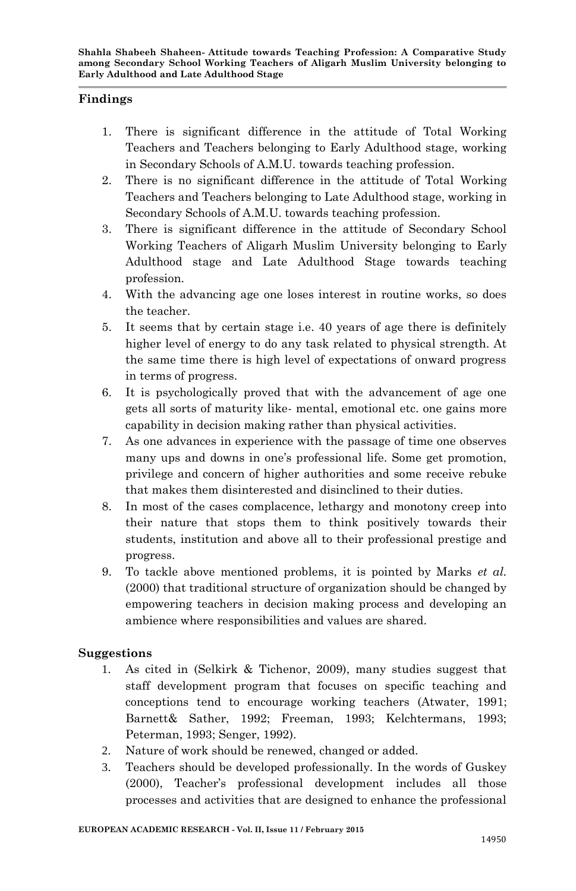#### **Findings**

- 1. There is significant difference in the attitude of Total Working Teachers and Teachers belonging to Early Adulthood stage, working in Secondary Schools of A.M.U. towards teaching profession.
- 2. There is no significant difference in the attitude of Total Working Teachers and Teachers belonging to Late Adulthood stage, working in Secondary Schools of A.M.U. towards teaching profession.
- 3. There is significant difference in the attitude of Secondary School Working Teachers of Aligarh Muslim University belonging to Early Adulthood stage and Late Adulthood Stage towards teaching profession.
- 4. With the advancing age one loses interest in routine works, so does the teacher.
- 5. It seems that by certain stage i.e. 40 years of age there is definitely higher level of energy to do any task related to physical strength. At the same time there is high level of expectations of onward progress in terms of progress.
- 6. It is psychologically proved that with the advancement of age one gets all sorts of maturity like- mental, emotional etc. one gains more capability in decision making rather than physical activities.
- 7. As one advances in experience with the passage of time one observes many ups and downs in one"s professional life. Some get promotion, privilege and concern of higher authorities and some receive rebuke that makes them disinterested and disinclined to their duties.
- 8. In most of the cases complacence, lethargy and monotony creep into their nature that stops them to think positively towards their students, institution and above all to their professional prestige and progress.
- 9. To tackle above mentioned problems, it is pointed by Marks *et al.*  (2000) that traditional structure of organization should be changed by empowering teachers in decision making process and developing an ambience where responsibilities and values are shared.

#### **Suggestions**

- 1. As cited in (Selkirk & Tichenor, 2009), many studies suggest that staff development program that focuses on specific teaching and conceptions tend to encourage working teachers (Atwater, 1991; Barnett& Sather, 1992; Freeman, 1993; Kelchtermans, 1993; Peterman, 1993; Senger, 1992).
- 2. Nature of work should be renewed, changed or added.
- 3. Teachers should be developed professionally. In the words of Guskey (2000), Teacher"s professional development includes all those processes and activities that are designed to enhance the professional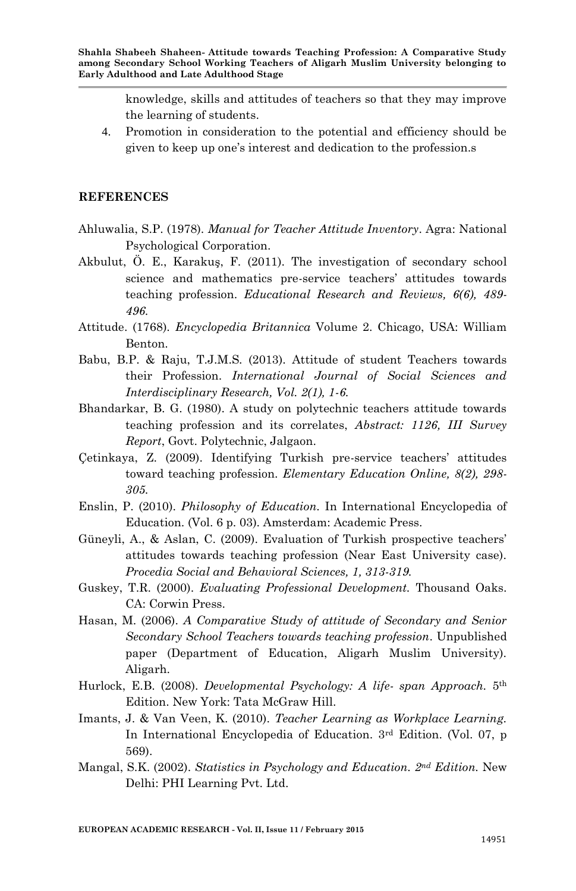knowledge, skills and attitudes of teachers so that they may improve the learning of students.

4. Promotion in consideration to the potential and efficiency should be given to keep up one"s interest and dedication to the profession.s

#### **REFERENCES**

- Ahluwalia, S.P. (1978). *Manual for Teacher Attitude Inventory*. Agra: National Psychological Corporation.
- Akbulut, Ö. E., Karakuş, F. (2011). The investigation of secondary school science and mathematics pre-service teachers' attitudes towards teaching profession. *Educational Research and Reviews, 6(6), 489- 496.*
- Attitude. (1768). *Encyclopedia Britannica* Volume 2. Chicago, USA: William Benton.
- Babu, B.P. & Raju, T.J.M.S. (2013). Attitude of student Teachers towards their Profession. *International Journal of Social Sciences and Interdisciplinary Research, Vol. 2(1), 1-6.*
- Bhandarkar, B. G. (1980). A study on polytechnic teachers attitude towards teaching profession and its correlates, *Abstract: 1126, III Survey Report*, Govt. Polytechnic, Jalgaon.
- Çetinkaya, Z. (2009). Identifying Turkish pre-service teachers" attitudes toward teaching profession. *Elementary Education Online, 8(2), 298- 305.*
- Enslin, P. (2010). *Philosophy of Education.* In International Encyclopedia of Education. (Vol. 6 p. 03). Amsterdam: Academic Press.
- Güneyli, A., & Aslan, C. (2009). Evaluation of Turkish prospective teachers' attitudes towards teaching profession (Near East University case). *Procedia Social and Behavioral Sciences, 1, 313-319.*
- Guskey, T.R. (2000). *Evaluating Professional Development.* Thousand Oaks. CA: Corwin Press.
- Hasan, M. (2006). *A Comparative Study of attitude of Secondary and Senior Secondary School Teachers towards teaching profession*. Unpublished paper (Department of Education, Aligarh Muslim University). Aligarh.
- Hurlock, E.B. (2008). *Developmental Psychology: A life- span Approach.* 5 th Edition. New York: Tata McGraw Hill.
- Imants, J. & Van Veen, K. (2010). *Teacher Learning as Workplace Learning.* In International Encyclopedia of Education. 3rd Edition. (Vol. 07, p 569).
- Mangal, S.K. (2002). *Statistics in Psychology and Education. 2nd Edition.* New Delhi: PHI Learning Pvt. Ltd.